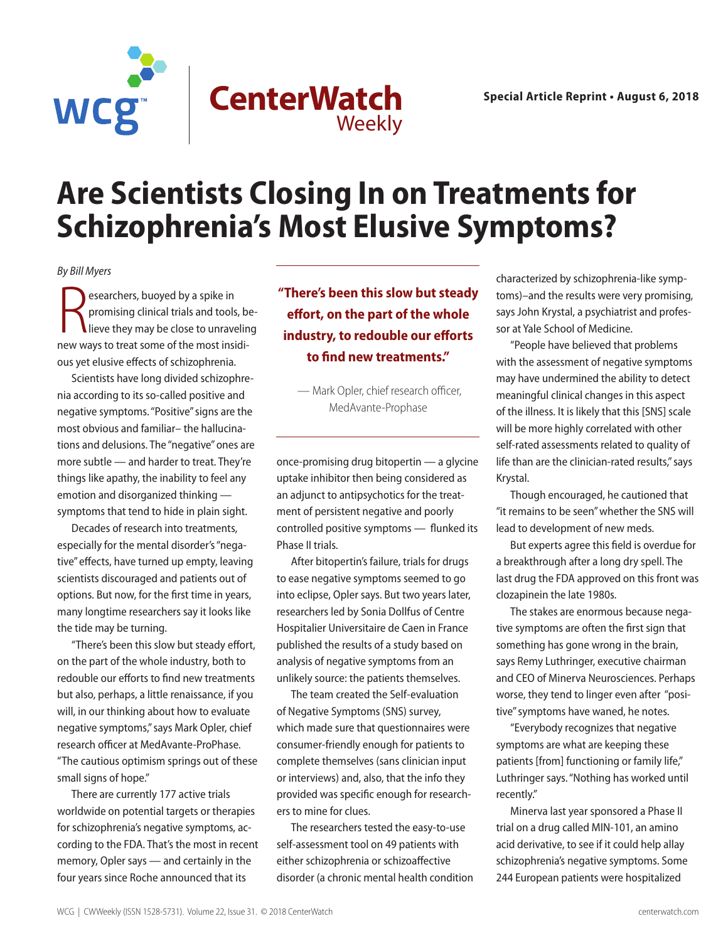

## **Are Scientists Closing In on Treatments for Schizophrenia's Most Elusive Symptoms?**

*By Bill Myers* 

Researchers, buoyed by a spike in<br>promising clinical trials and tools, b<br>lieve they may be close to unravelin<br>new ways to treat some of the most insidiesearchers, buoyed by a spike in promising clinical trials and tools, be-I lieve they may be close to unraveling ous yet elusive effects of schizophrenia.

Scientists have long divided schizophrenia according to its so-called positive and negative symptoms. "Positive" signs are the most obvious and familiar– the hallucinations and delusions. The "negative" ones are more subtle — and harder to treat. They're things like apathy, the inability to feel any emotion and disorganized thinking symptoms that tend to hide in plain sight.

Decades of research into treatments, especially for the mental disorder's "negative" effects, have turned up empty, leaving scientists discouraged and patients out of options. But now, for the first time in years, many longtime researchers say it looks like the tide may be turning.

"There's been this slow but steady effort, on the part of the whole industry, both to redouble our efforts to find new treatments but also, perhaps, a little renaissance, if you will, in our thinking about how to evaluate negative symptoms," says Mark Opler, chief research officer at MedAvante-ProPhase. "The cautious optimism springs out of these small signs of hope."

There are currently 177 active trials worldwide on potential targets or therapies for schizophrenia's negative symptoms, according to the FDA. That's the most in recent memory, Opler says — and certainly in the four years since Roche announced that its

**"There's been this slow but steady effort, on the part of the whole industry, to redouble our efforts to find new treatments."**

 — Mark Opler, chief research officer, MedAvante-Prophase

once-promising drug bitopertin — a glycine uptake inhibitor then being considered as an adjunct to antipsychotics for the treatment of persistent negative and poorly controlled positive symptoms — flunked its Phase II trials.

After bitopertin's failure, trials for drugs to ease negative symptoms seemed to go into eclipse, Opler says. But two years later, researchers led by Sonia Dollfus of Centre Hospitalier Universitaire de Caen in France published the results of a study based on analysis of negative symptoms from an unlikely source: the patients themselves.

The team created the Self-evaluation of Negative Symptoms (SNS) survey, which made sure that questionnaires were consumer-friendly enough for patients to complete themselves (sans clinician input or interviews) and, also, that the info they provided was specific enough for researchers to mine for clues.

The researchers tested the easy-to-use self-assessment tool on 49 patients with either schizophrenia or schizoaffective disorder (a chronic mental health condition

characterized by schizophrenia-like symptoms)–and the results were very promising, says John Krystal, a psychiatrist and professor at Yale School of Medicine.

"People have believed that problems with the assessment of negative symptoms may have undermined the ability to detect meaningful clinical changes in this aspect of the illness. It is likely that this [SNS] scale will be more highly correlated with other self-rated assessments related to quality of life than are the clinician-rated results," says Krystal.

Though encouraged, he cautioned that "it remains to be seen" whether the SNS will lead to development of new meds.

But experts agree this field is overdue for a breakthrough after a long dry spell. The last drug the FDA approved on this front was clozapinein the late 1980s.

The stakes are enormous because negative symptoms are often the first sign that something has gone wrong in the brain, says Remy Luthringer, executive chairman and CEO of Minerva Neurosciences. Perhaps worse, they tend to linger even after "positive" symptoms have waned, he notes.

"Everybody recognizes that negative symptoms are what are keeping these patients [from] functioning or family life," Luthringer says. "Nothing has worked until recently."

Minerva last year sponsored a Phase II trial on a drug called MIN-101, an amino acid derivative, to see if it could help allay schizophrenia's negative symptoms. Some 244 European patients were hospitalized